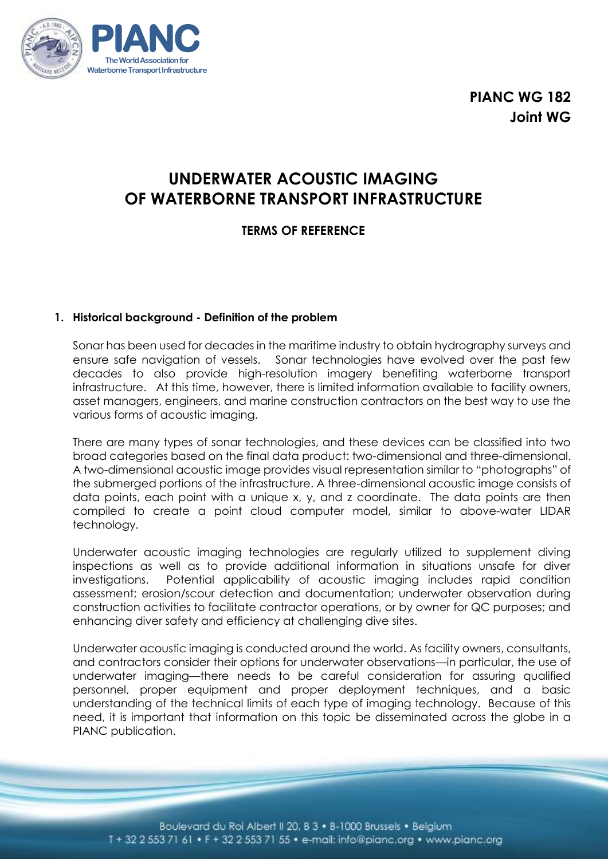

**PIANC WG 182 Joint WG**

# **UNDERWATER ACOUSTIC IMAGING OF WATERBORNE TRANSPORT INFRASTRUCTURE**

# **TERMS OF REFERENCE**

### **1. Historical background - Definition of the problem**

Sonar has been used for decades in the maritime industry to obtain hydrography surveys and ensure safe navigation of vessels. Sonar technologies have evolved over the past few decades to also provide high-resolution imagery benefiting waterborne transport infrastructure. At this time, however, there is limited information available to facility owners, asset managers, engineers, and marine construction contractors on the best way to use the various forms of acoustic imaging.

There are many types of sonar technologies, and these devices can be classified into two broad categories based on the final data product: two-dimensional and three-dimensional. A two-dimensional acoustic image provides visual representation similar to "photographs" of the submerged portions of the infrastructure. A three-dimensional acoustic image consists of data points, each point with a unique x, y, and z coordinate. The data points are then compiled to create a point cloud computer model, similar to above-water LIDAR technology.

Underwater acoustic imaging technologies are regularly utilized to supplement diving inspections as well as to provide additional information in situations unsafe for diver investigations. Potential applicability of acoustic imaging includes rapid condition assessment; erosion/scour detection and documentation; underwater observation during construction activities to facilitate contractor operations, or by owner for QC purposes; and enhancing diver safety and efficiency at challenging dive sites.

Underwater acoustic imaging is conducted around the world. As facility owners, consultants, and contractors consider their options for underwater observations—in particular, the use of underwater imaging—there needs to be careful consideration for assuring qualified personnel, proper equipment and proper deployment techniques, and a basic understanding of the technical limits of each type of imaging technology. Because of this need, it is important that information on this topic be disseminated across the globe in a PIANC publication.

Boulevard du Roi Albert II 20, B 3 · B-1000 Brussels · Belgium T + 32 2 553 71 61 • F + 32 2 553 71 55 • e-mail: info@pianc.org • www.pianc.org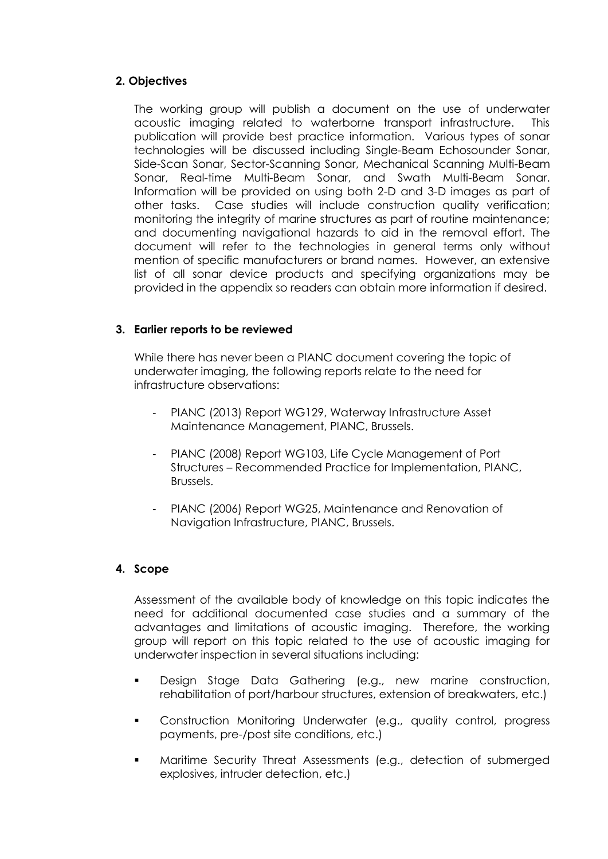## **2. Objectives**

The working group will publish a document on the use of underwater acoustic imaging related to waterborne transport infrastructure. This publication will provide best practice information. Various types of sonar technologies will be discussed including Single-Beam Echosounder Sonar, Side-Scan Sonar, Sector-Scanning Sonar, Mechanical Scanning Multi-Beam Sonar, Real-time Multi-Beam Sonar, and Swath Multi-Beam Sonar. Information will be provided on using both 2-D and 3-D images as part of other tasks. Case studies will include construction quality verification; monitoring the integrity of marine structures as part of routine maintenance; and documenting navigational hazards to aid in the removal effort. The document will refer to the technologies in general terms only without mention of specific manufacturers or brand names. However, an extensive list of all sonar device products and specifying organizations may be provided in the appendix so readers can obtain more information if desired.

### **3. Earlier reports to be reviewed**

While there has never been a PIANC document covering the topic of underwater imaging, the following reports relate to the need for infrastructure observations:

- PIANC (2013) Report WG129, Waterway Infrastructure Asset Maintenance Management, PIANC, Brussels.
- PIANC (2008) Report WG103, Life Cycle Management of Port Structures – Recommended Practice for Implementation, PIANC, Brussels.
- PIANC (2006) Report WG25, Maintenance and Renovation of Navigation Infrastructure, PIANC, Brussels.

### **4. Scope**

Assessment of the available body of knowledge on this topic indicates the need for additional documented case studies and a summary of the advantages and limitations of acoustic imaging. Therefore, the working group will report on this topic related to the use of acoustic imaging for underwater inspection in several situations including:

- Design Stage Data Gathering (e.g., new marine construction, rehabilitation of port/harbour structures, extension of breakwaters, etc.)
- Construction Monitoring Underwater (e.g., quality control, progress payments, pre-/post site conditions, etc.)
- Maritime Security Threat Assessments (e.g., detection of submerged explosives, intruder detection, etc.)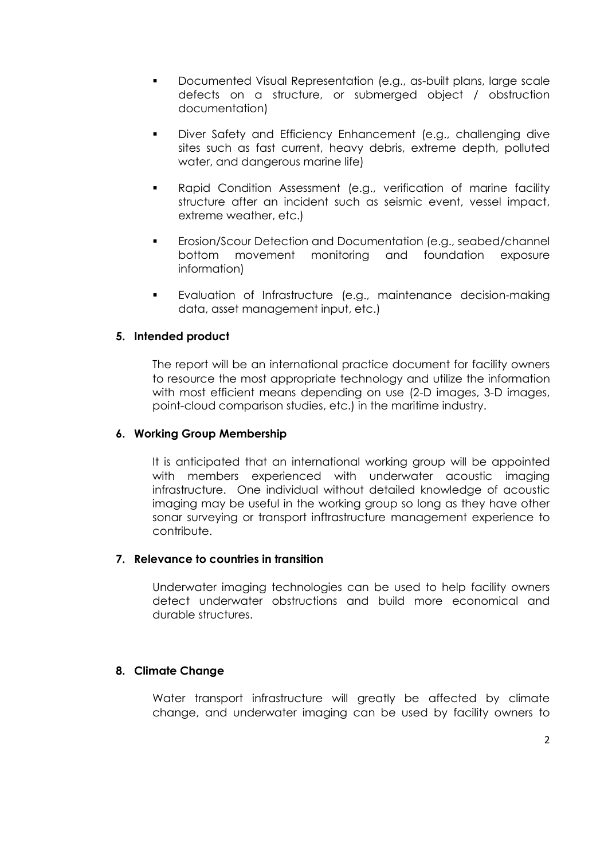- Documented Visual Representation (e.g., as-built plans, large scale defects on a structure, or submerged object / obstruction documentation)
- Diver Safety and Efficiency Enhancement (e.g., challenging dive sites such as fast current, heavy debris, extreme depth, polluted water, and dangerous marine life)
- Rapid Condition Assessment (e.g., verification of marine facility structure after an incident such as seismic event, vessel impact, extreme weather, etc.)
- Erosion/Scour Detection and Documentation (e.g., seabed/channel bottom movement monitoring and foundation exposure information)
- Evaluation of Infrastructure (e.g., maintenance decision-making data, asset management input, etc.)

#### **5. Intended product**

The report will be an international practice document for facility owners to resource the most appropriate technology and utilize the information with most efficient means depending on use (2-D images, 3-D images, point-cloud comparison studies, etc.) in the maritime industry.

#### **6. Working Group Membership**

It is anticipated that an international working group will be appointed with members experienced with underwater acoustic imaging infrastructure. One individual without detailed knowledge of acoustic imaging may be useful in the working group so long as they have other sonar surveying or transport inftrastructure management experience to contribute.

#### **7. Relevance to countries in transition**

Underwater imaging technologies can be used to help facility owners detect underwater obstructions and build more economical and durable structures.

### **8. Climate Change**

Water transport infrastructure will greatly be affected by climate change, and underwater imaging can be used by facility owners to